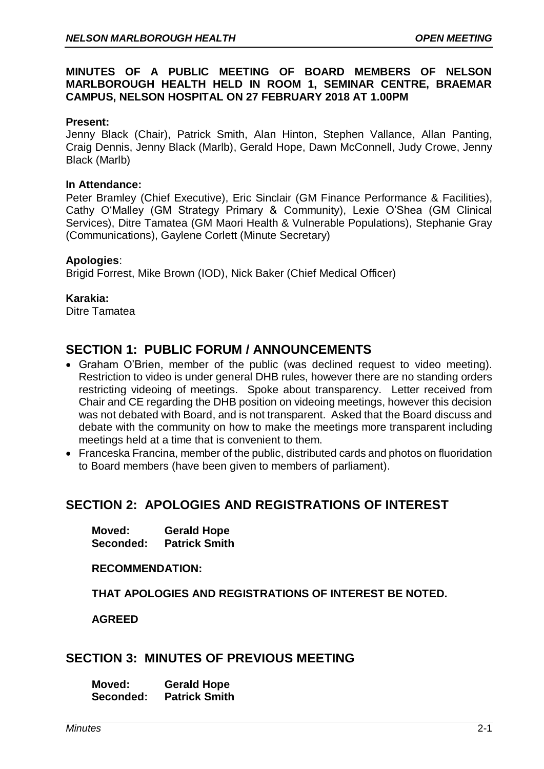### **MINUTES OF A PUBLIC MEETING OF BOARD MEMBERS OF NELSON MARLBOROUGH HEALTH HELD IN ROOM 1, SEMINAR CENTRE, BRAEMAR CAMPUS, NELSON HOSPITAL ON 27 FEBRUARY 2018 AT 1.00PM**

#### **Present:**

Jenny Black (Chair), Patrick Smith, Alan Hinton, Stephen Vallance, Allan Panting, Craig Dennis, Jenny Black (Marlb), Gerald Hope, Dawn McConnell, Judy Crowe, Jenny Black (Marlb)

#### **In Attendance:**

Peter Bramley (Chief Executive), Eric Sinclair (GM Finance Performance & Facilities), Cathy O'Malley (GM Strategy Primary & Community), Lexie O'Shea (GM Clinical Services), Ditre Tamatea (GM Maori Health & Vulnerable Populations), Stephanie Gray (Communications), Gaylene Corlett (Minute Secretary)

#### **Apologies**:

Brigid Forrest, Mike Brown (IOD), Nick Baker (Chief Medical Officer)

#### **Karakia:**

Ditre Tamatea

## **SECTION 1: PUBLIC FORUM / ANNOUNCEMENTS**

- Graham O'Brien, member of the public (was declined request to video meeting). Restriction to video is under general DHB rules, however there are no standing orders restricting videoing of meetings. Spoke about transparency. Letter received from Chair and CE regarding the DHB position on videoing meetings, however this decision was not debated with Board, and is not transparent. Asked that the Board discuss and debate with the community on how to make the meetings more transparent including meetings held at a time that is convenient to them.
- Franceska Francina, member of the public, distributed cards and photos on fluoridation to Board members (have been given to members of parliament).

# **SECTION 2: APOLOGIES AND REGISTRATIONS OF INTEREST**

**Moved: Gerald Hope Seconded: Patrick Smith**

**RECOMMENDATION:** 

**THAT APOLOGIES AND REGISTRATIONS OF INTEREST BE NOTED.**

**AGREED** 

## **SECTION 3: MINUTES OF PREVIOUS MEETING**

**Moved: Gerald Hope Seconded: Patrick Smith**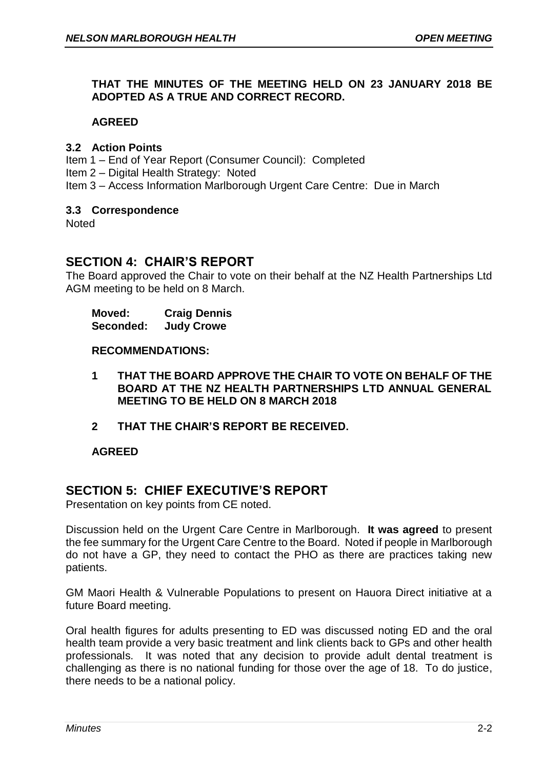### **THAT THE MINUTES OF THE MEETING HELD ON 23 JANUARY 2018 BE ADOPTED AS A TRUE AND CORRECT RECORD.**

### **AGREED**

#### **3.2 Action Points**

Item 1 – End of Year Report (Consumer Council): Completed

Item 2 – Digital Health Strategy: Noted

Item 3 – Access Information Marlborough Urgent Care Centre: Due in March

### **3.3 Correspondence**

**Noted** 

# **SECTION 4: CHAIR'S REPORT**

The Board approved the Chair to vote on their behalf at the NZ Health Partnerships Ltd AGM meeting to be held on 8 March.

**Moved: Craig Dennis Seconded: Judy Crowe**

**RECOMMENDATIONS:**

- **1 THAT THE BOARD APPROVE THE CHAIR TO VOTE ON BEHALF OF THE BOARD AT THE NZ HEALTH PARTNERSHIPS LTD ANNUAL GENERAL MEETING TO BE HELD ON 8 MARCH 2018**
- **2 THAT THE CHAIR'S REPORT BE RECEIVED.**

## **AGREED**

# **SECTION 5: CHIEF EXECUTIVE'S REPORT**

Presentation on key points from CE noted.

Discussion held on the Urgent Care Centre in Marlborough. **It was agreed** to present the fee summary for the Urgent Care Centre to the Board. Noted if people in Marlborough do not have a GP, they need to contact the PHO as there are practices taking new patients.

GM Maori Health & Vulnerable Populations to present on Hauora Direct initiative at a future Board meeting.

Oral health figures for adults presenting to ED was discussed noting ED and the oral health team provide a very basic treatment and link clients back to GPs and other health professionals. It was noted that any decision to provide adult dental treatment is challenging as there is no national funding for those over the age of 18. To do justice, there needs to be a national policy.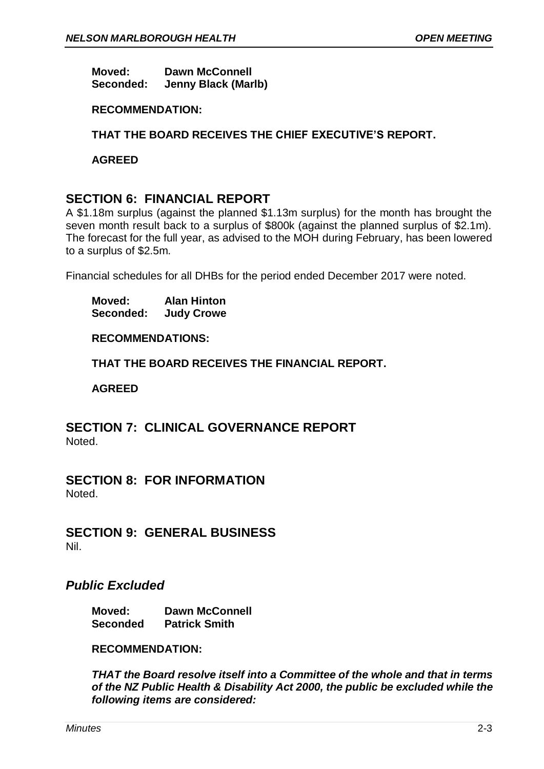**Moved: Dawn McConnell Seconded: Jenny Black (Marlb)**

### **RECOMMENDATION:**

**THAT THE BOARD RECEIVES THE CHIEF EXECUTIVE'S REPORT.**

**AGREED**

# **SECTION 6: FINANCIAL REPORT**

A \$1.18m surplus (against the planned \$1.13m surplus) for the month has brought the seven month result back to a surplus of \$800k (against the planned surplus of \$2.1m). The forecast for the full year, as advised to the MOH during February, has been lowered to a surplus of \$2.5m.

Financial schedules for all DHBs for the period ended December 2017 were noted.

**Moved: Alan Hinton Seconded: Judy Crowe**

**RECOMMENDATIONS:**

**THAT THE BOARD RECEIVES THE FINANCIAL REPORT.**

**AGREED**

**SECTION 7: CLINICAL GOVERNANCE REPORT** Noted.

**SECTION 8: FOR INFORMATION** Noted.

**SECTION 9: GENERAL BUSINESS** Nil.

## *Public Excluded*

**Moved: Dawn McConnell Seconded Patrick Smith**

#### **RECOMMENDATION:**

*THAT the Board resolve itself into a Committee of the whole and that in terms of the NZ Public Health & Disability Act 2000, the public be excluded while the following items are considered:*